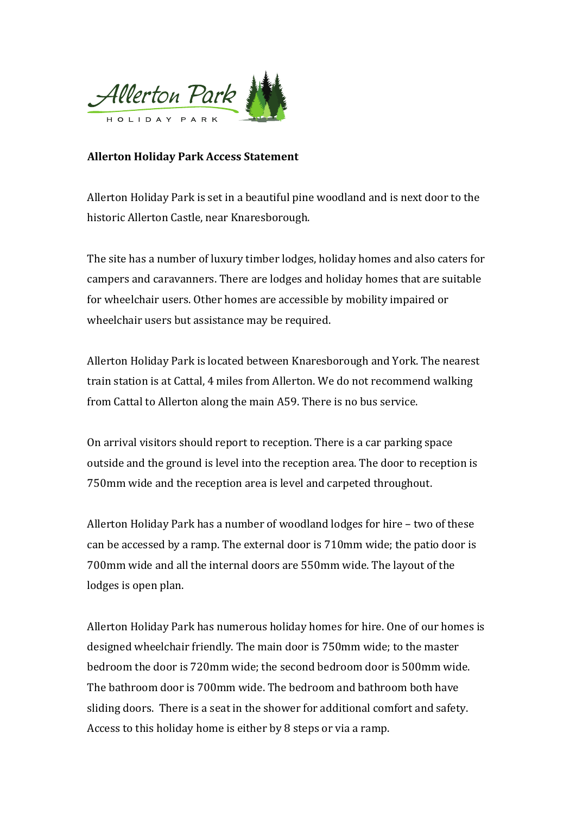

## **Allerton Holiday Park Access Statement**

Allerton Holiday Park is set in a beautiful pine woodland and is next door to the historic Allerton Castle, near Knaresborough.

The site has a number of luxury timber lodges, holiday homes and also caters for campers and caravanners. There are lodges and holiday homes that are suitable for wheelchair users. Other homes are accessible by mobility impaired or wheelchair users but assistance may be required.

Allerton Holiday Park is located between Knaresborough and York. The nearest train station is at Cattal, 4 miles from Allerton. We do not recommend walking from Cattal to Allerton along the main A59. There is no bus service.

On arrival visitors should report to reception. There is a car parking space outside and the ground is level into the reception area. The door to reception is 750mm wide and the reception area is level and carpeted throughout.

Allerton Holiday Park has a number of woodland lodges for hire  $-$  two of these can be accessed by a ramp. The external door is 710mm wide; the patio door is 700mm wide and all the internal doors are 550mm wide. The layout of the lodges is open plan.

Allerton Holiday Park has numerous holiday homes for hire. One of our homes is designed wheelchair friendly. The main door is 750mm wide; to the master bedroom the door is 720mm wide; the second bedroom door is 500mm wide. The bathroom door is 700mm wide. The bedroom and bathroom both have sliding doors. There is a seat in the shower for additional comfort and safety. Access to this holiday home is either by 8 steps or via a ramp.